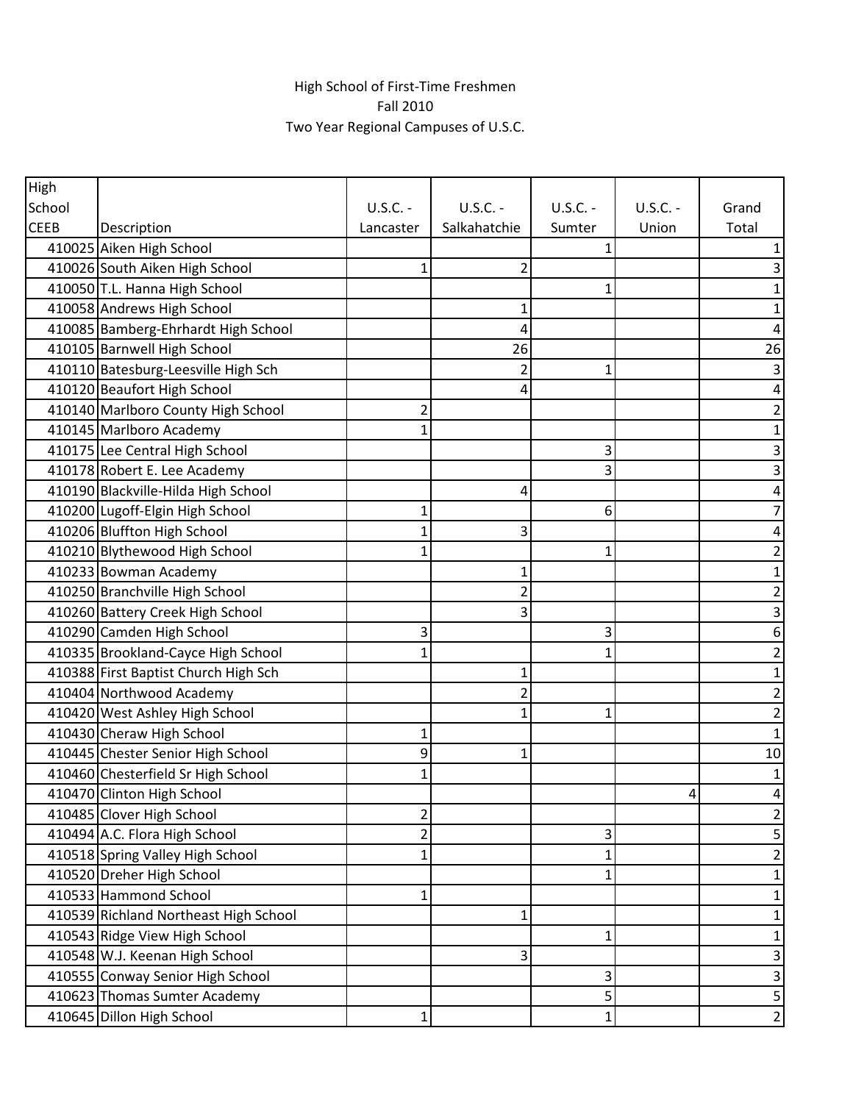## High School of First-Time Freshmen Fall 2010 Two Year Regional Campuses of U.S.C.

| High        |                                       |              |                |             |                |                |
|-------------|---------------------------------------|--------------|----------------|-------------|----------------|----------------|
| School      |                                       | $U.S.C. -$   | $U.S.C. -$     | $U.S.C. -$  | $U.S.C. -$     | Grand          |
| <b>CEEB</b> | Description                           | Lancaster    | Salkahatchie   | Sumter      | Union          | Total          |
|             | 410025 Aiken High School              |              |                | 1           |                | 1              |
|             | 410026 South Aiken High School        | 1            | $\overline{2}$ |             |                | 3              |
|             | 410050 T.L. Hanna High School         |              |                |             |                | 1              |
|             | 410058 Andrews High School            |              |                |             |                | 1              |
|             | 410085 Bamberg-Ehrhardt High School   |              | 4              |             |                | 4              |
|             | 410105 Barnwell High School           |              | 26             |             |                | 26             |
|             | 410110 Batesburg-Leesville High Sch   |              | 2              | 1           |                | 3              |
|             | 410120 Beaufort High School           |              | 4              |             |                | 4              |
|             | 410140 Marlboro County High School    | 2            |                |             |                | 2              |
|             | 410145 Marlboro Academy               |              |                |             |                | 1              |
|             | 410175 Lee Central High School        |              |                | 3           |                | 3              |
|             | 410178 Robert E. Lee Academy          |              |                | 3           |                | 3              |
|             | 410190 Blackville-Hilda High School   |              | 4              |             |                | 4              |
|             | 410200 Lugoff-Elgin High School       |              |                | 6           |                | 7              |
|             | 410206 Bluffton High School           |              | 3              |             |                | 4              |
|             | 410210 Blythewood High School         |              |                | 1           |                | 2              |
|             | 410233 Bowman Academy                 |              |                |             |                | 1              |
|             | 410250 Branchville High School        |              | $\overline{2}$ |             |                | $\overline{c}$ |
|             | 410260 Battery Creek High School      |              | 3              |             |                | 3              |
|             | 410290 Camden High School             | 3            |                | 3           |                | 6              |
|             | 410335 Brookland-Cayce High School    |              |                | 1           |                | 2              |
|             | 410388 First Baptist Church High Sch  |              |                |             |                | 1              |
|             | 410404 Northwood Academy              |              | 2              |             |                | 2              |
|             | 410420 West Ashley High School        |              | 1              | 1           |                | $\overline{c}$ |
|             | 410430 Cheraw High School             | 1            |                |             |                | $\mathbf 1$    |
|             | 410445 Chester Senior High School     | 9            | 1              |             |                | 10             |
|             | 410460 Chesterfield Sr High School    |              |                |             |                | 1              |
|             | 410470 Clinton High School            |              |                |             | $\overline{4}$ | 4              |
|             | 410485 Clover High School             | 2            |                |             |                | 2              |
|             | 410494 A.C. Flora High School         | 2            |                | 3           |                | 5              |
|             | 410518 Spring Valley High School      |              |                | 1           |                | $\overline{2}$ |
|             | 410520 Dreher High School             |              |                | 1           |                | $\mathbf{1}$   |
|             | 410533 Hammond School                 | $\mathbf{1}$ |                |             |                | $\mathbf 1$    |
|             | 410539 Richland Northeast High School |              | 1              |             |                | 1              |
|             | 410543 Ridge View High School         |              |                | 1           |                | 1              |
|             | 410548 W.J. Keenan High School        |              | 3              |             |                | 3              |
|             | 410555 Conway Senior High School      |              |                | 3           |                | 3              |
|             | 410623 Thomas Sumter Academy          |              |                | 5           |                | 5              |
|             | 410645 Dillon High School             | 1            |                | $\mathbf 1$ |                | $\mathbf{2}$   |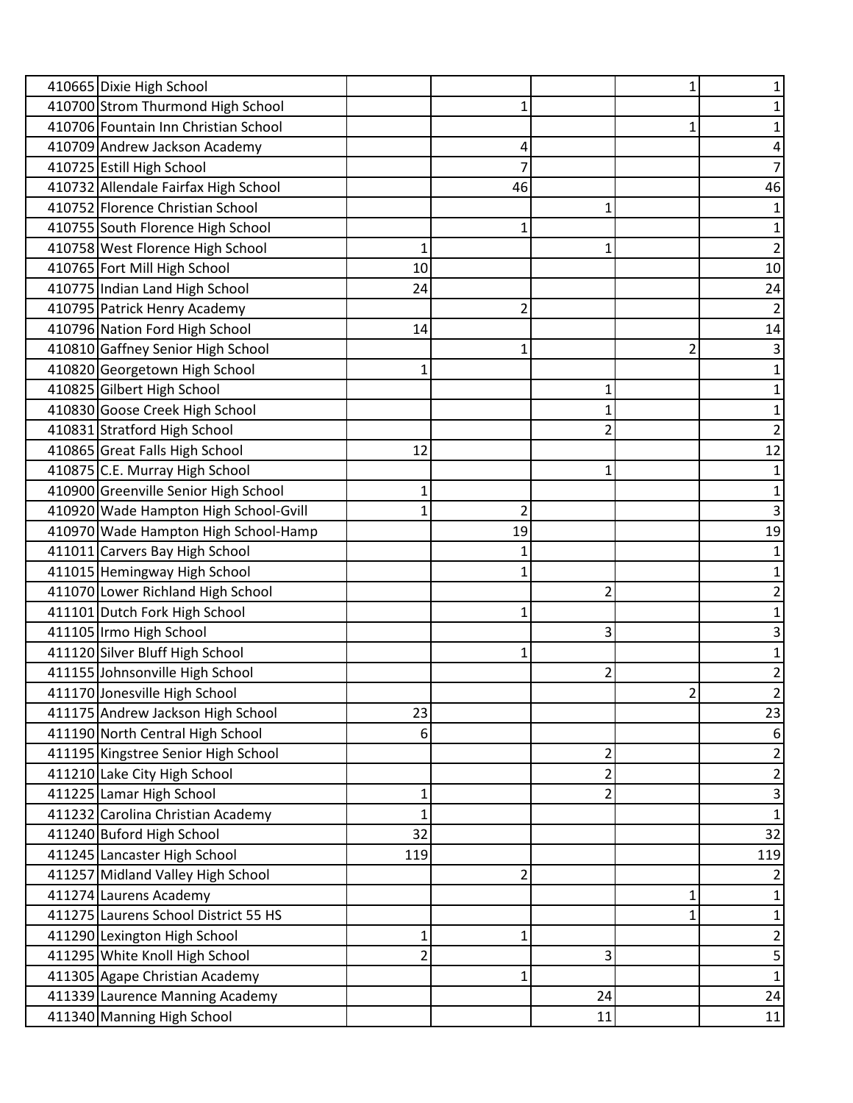| 410665 Dixie High School              |     |    |    | 1 |                |
|---------------------------------------|-----|----|----|---|----------------|
| 410700 Strom Thurmond High School     |     |    |    |   |                |
| 410706 Fountain Inn Christian School  |     |    |    | 1 |                |
| 410709 Andrew Jackson Academy         |     | 4  |    |   |                |
| 410725 Estill High School             |     |    |    |   |                |
| 410732 Allendale Fairfax High School  |     | 46 |    |   | 46             |
| 410752 Florence Christian School      |     |    |    |   |                |
| 410755 South Florence High School     |     |    |    |   |                |
| 410758 West Florence High School      | 1   |    | 1  |   | $\overline{2}$ |
| 410765 Fort Mill High School          | 10  |    |    |   | 10             |
| 410775 Indian Land High School        | 24  |    |    |   | 24             |
| 410795 Patrick Henry Academy          |     |    |    |   |                |
| 410796 Nation Ford High School        | 14  |    |    |   | 14             |
| 410810 Gaffney Senior High School     |     |    |    | 2 | 3              |
| 410820 Georgetown High School         |     |    |    |   |                |
| 410825 Gilbert High School            |     |    |    |   |                |
| 410830 Goose Creek High School        |     |    |    |   |                |
| 410831 Stratford High School          |     |    |    |   | 2              |
| 410865 Great Falls High School        | 12  |    |    |   | 12             |
| 410875 C.E. Murray High School        |     |    |    |   |                |
| 410900 Greenville Senior High School  |     |    |    |   |                |
| 410920 Wade Hampton High School-Gvill |     | 2  |    |   |                |
| 410970 Wade Hampton High School-Hamp  |     | 19 |    |   | 19             |
| 411011 Carvers Bay High School        |     |    |    |   |                |
| 411015 Hemingway High School          |     |    |    |   |                |
| 411070 Lower Richland High School     |     |    | 2  |   |                |
| 411101 Dutch Fork High School         |     |    |    |   |                |
| 411105 Irmo High School               |     |    | 3  |   | 3              |
| 411120 Silver Bluff High School       |     |    |    |   |                |
| 411155 Johnsonville High School       |     |    | 2  |   | 2              |
| 411170 Jonesville High School         |     |    |    | 2 | $\overline{2}$ |
| 411175 Andrew Jackson High School     | 23  |    |    |   | 23             |
| 411190 North Central High School      | 6   |    |    |   | 6              |
| 411195 Kingstree Senior High School   |     |    | 2  |   | 2              |
| 411210 Lake City High School          |     |    | 2  |   | 2              |
| 411225 Lamar High School              | 1   |    | 2  |   | 3              |
| 411232 Carolina Christian Academy     | 1   |    |    |   | $\mathbf{1}$   |
| 411240 Buford High School             | 32  |    |    |   | 32             |
| 411245 Lancaster High School          | 119 |    |    |   | 119            |
| 411257 Midland Valley High School     |     | 2  |    |   | 2              |
| 411274 Laurens Academy                |     |    |    | 1 | 1              |
| 411275 Laurens School District 55 HS  |     |    |    |   | 1              |
| 411290 Lexington High School          | 1   | 1  |    |   | 2              |
| 411295 White Knoll High School        | 2   |    | 3  |   | 5              |
| 411305 Agape Christian Academy        |     | 1  |    |   | 1              |
| 411339 Laurence Manning Academy       |     |    | 24 |   | 24             |
| 411340 Manning High School            |     |    | 11 |   | 11             |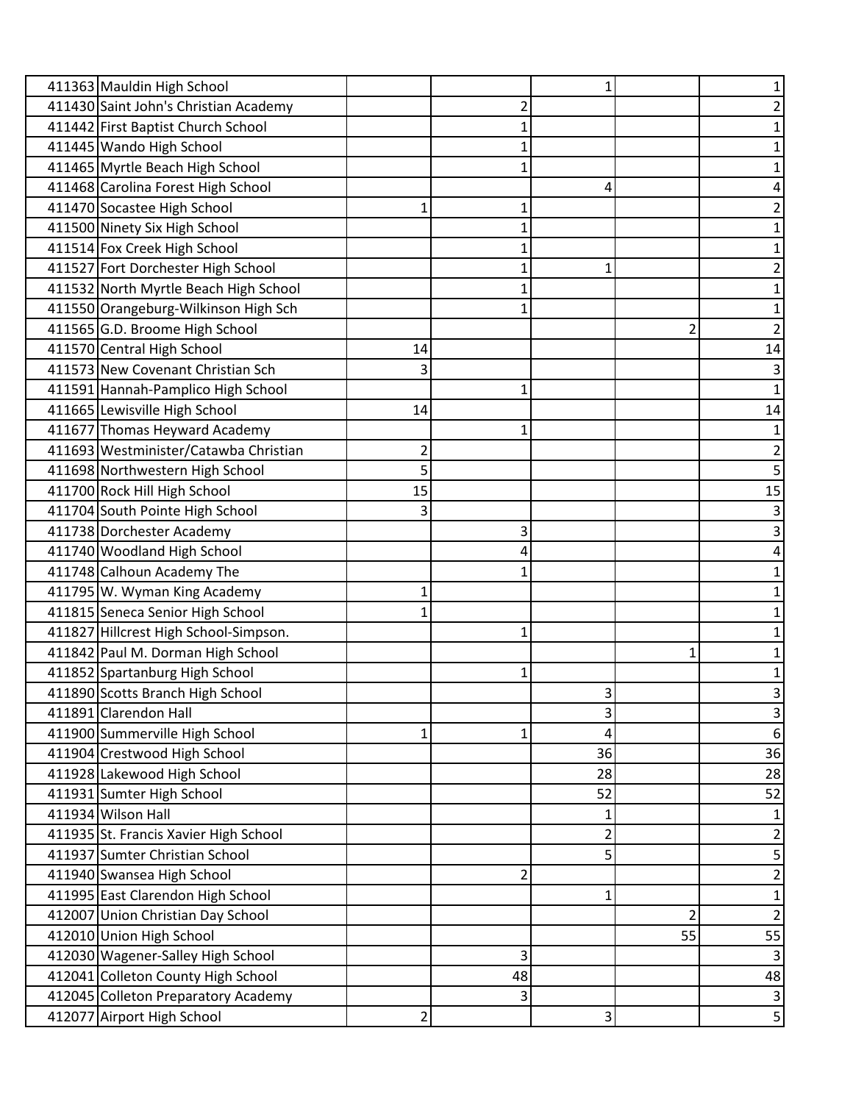| 411363 Mauldin High School            |                |    |                |    |                |
|---------------------------------------|----------------|----|----------------|----|----------------|
| 411430 Saint John's Christian Academy |                |    |                |    |                |
| 411442 First Baptist Church School    |                |    |                |    |                |
| 411445 Wando High School              |                |    |                |    |                |
| 411465 Myrtle Beach High School       |                |    |                |    |                |
| 411468 Carolina Forest High School    |                |    | 4              |    |                |
| 411470 Socastee High School           | 1              |    |                |    |                |
| 411500 Ninety Six High School         |                |    |                |    |                |
| 411514 Fox Creek High School          |                |    |                |    |                |
| 411527 Fort Dorchester High School    |                |    | 1              |    |                |
| 411532 North Myrtle Beach High School |                |    |                |    |                |
| 411550 Orangeburg-Wilkinson High Sch  |                |    |                |    |                |
| 411565 G.D. Broome High School        |                |    |                | 2  |                |
| 411570 Central High School            | 14             |    |                |    | 14             |
| 411573 New Covenant Christian Sch     | 3              |    |                |    | 3              |
| 411591 Hannah-Pamplico High School    |                |    |                |    |                |
| 411665 Lewisville High School         | 14             |    |                |    | 14             |
| 411677 Thomas Heyward Academy         |                |    |                |    |                |
| 411693 Westminister/Catawba Christian | $\overline{2}$ |    |                |    | 2              |
| 411698 Northwestern High School       | 5              |    |                |    | 5              |
| 411700 Rock Hill High School          | 15             |    |                |    | 15             |
| 411704 South Pointe High School       | 3              |    |                |    | 3              |
| 411738 Dorchester Academy             |                | 3  |                |    | 3              |
| 411740 Woodland High School           |                |    |                |    |                |
| 411748 Calhoun Academy The            |                |    |                |    |                |
| 411795 W. Wyman King Academy          | 1              |    |                |    |                |
| 411815 Seneca Senior High School      |                |    |                |    |                |
| 411827 Hillcrest High School-Simpson. |                |    |                |    |                |
| 411842 Paul M. Dorman High School     |                |    |                |    |                |
| 411852 Spartanburg High School        |                |    |                |    |                |
| 411890 Scotts Branch High School      |                |    | 3              |    | 3              |
| 411891 Clarendon Hall                 |                |    | 3              |    | 3              |
| 411900 Summerville High School        | 1              |    | 4              |    | 6              |
| 411904 Crestwood High School          |                |    | 36             |    | 36             |
| 411928 Lakewood High School           |                |    | 28             |    | 28             |
| 411931 Sumter High School             |                |    | 52             |    | 52             |
| 411934 Wilson Hall                    |                |    | 1              |    | 1              |
| 411935 St. Francis Xavier High School |                |    | $\overline{2}$ |    | 2              |
| 411937 Sumter Christian School        |                |    | 5              |    | 5              |
| 411940 Swansea High School            |                | 2  |                |    | 2              |
| 411995 East Clarendon High School     |                |    | 1              |    | 1              |
| 412007 Union Christian Day School     |                |    |                | 2  | $\overline{2}$ |
| 412010 Union High School              |                |    |                | 55 | 55             |
| 412030 Wagener-Salley High School     |                | 3  |                |    | 3              |
| 412041 Colleton County High School    |                | 48 |                |    | 48             |
| 412045 Colleton Preparatory Academy   |                | 3  |                |    | 3              |
| 412077 Airport High School            | $\overline{2}$ |    | 3              |    | 5              |